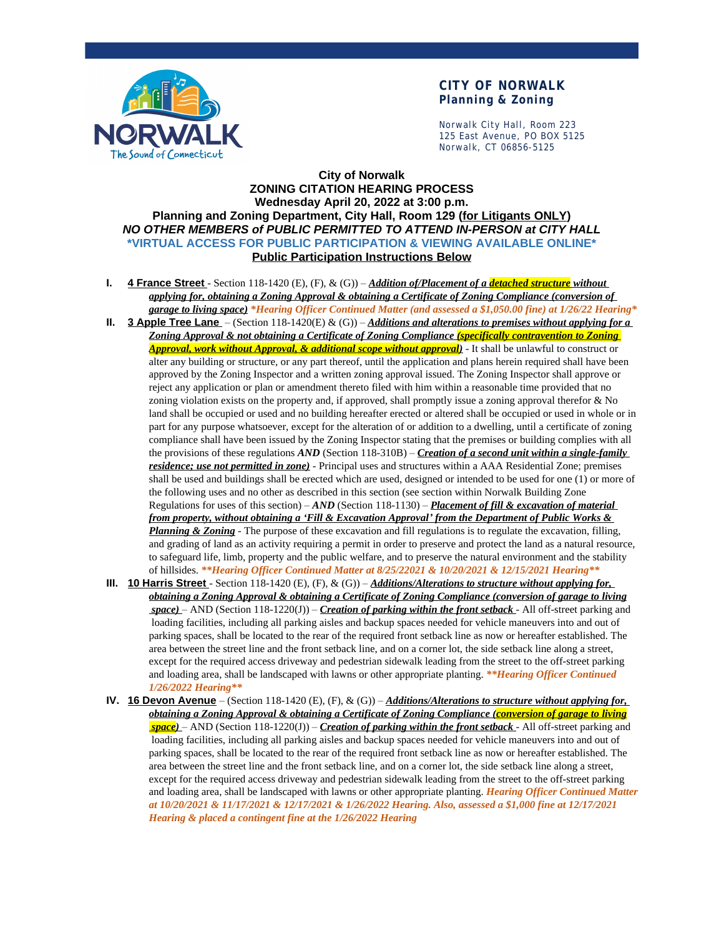

## **CITY OF NORWALK Planning & Zoning**

Norwalk City Hall, Room 223 125 East Avenue, PO BOX 5125 Norwalk, CT 06856-5125

## **City of Norwalk ZONING CITATION HEARING PROCESS Wednesday April 20, 2022 at 3:00 p.m. Planning and Zoning Department, City Hall, Room 129 (for Litigants ONLY)** *NO OTHER MEMBERS of PUBLIC PERMITTED TO ATTEND IN-PERSON at CITY HALL* **\*VIRTUAL ACCESS FOR PUBLIC PARTICIPATION & VIEWING AVAILABLE ONLINE\* Public Participation Instructions Below**

- **I. 4 France Street**  Section 118-1420 (E), (F), & (G)) *Addition of/Placement of a detached structure without applying for, obtaining a Zoning Approval & obtaining a Certificate of Zoning Compliance (conversion of garage to living space) \*Hearing Officer Continued Matter (and assessed a \$1,050.00 fine) at 1/26/22 Hearing\**
- **II. 3 Apple Tree Lane**  (Section 118-1420(E) & (G)) *Additions and alterations to premises without applying for a Zoning Approval & not obtaining a Certificate of Zoning Compliance (specifically contravention to Zoning Approval, work without Approval, & additional scope without approval)* - It shall be unlawful to construct or alter any building or structure, or any part thereof, until the application and plans herein required shall have been approved by the Zoning Inspector and a written zoning approval issued. The Zoning Inspector shall approve or reject any application or plan or amendment thereto filed with him within a reasonable time provided that no zoning violation exists on the property and, if approved, shall promptly issue a zoning approval therefor & No land shall be occupied or used and no building hereafter erected or altered shall be occupied or used in whole or in part for any purpose whatsoever, except for the alteration of or addition to a dwelling, until a certificate of zoning compliance shall have been issued by the Zoning Inspector stating that the premises or building complies with all the provisions of these regulations *AND* (Section 118-310B) – *Creation of a second unit within a single-family residence; use not permitted in zone)* - Principal uses and structures within a AAA Residential Zone; premises shall be used and buildings shall be erected which are used, designed or intended to be used for one (1) or more of the following uses and no other as described in this section (see section within Norwalk Building Zone Regulations for uses of this section) – *AND* (Section 118-1130) – *Placement of fill & excavation of material from property, without obtaining a 'Fill & Excavation Approval' from the Department of Public Works & Planning & Zoning* - The purpose of these excavation and fill regulations is to regulate the excavation, filling, and grading of land as an activity requiring a permit in order to preserve and protect the land as a natural resource, to safeguard life, limb, property and the public welfare, and to preserve the natural environment and the stability of hillsides. *\*\*Hearing Officer Continued Matter at 8/25/22021 & 10/20/2021 & 12/15/2021 Hearing\*\**
- **III. 10 Harris Street**  Section 118-1420 (E), (F), & (G)) *Additions/Alterations to structure without applying for, obtaining a Zoning Approval & obtaining a Certificate of Zoning Compliance (conversion of garage to living space)* – AND (Section 118-1220(J)) – *Creation of parking within the front setback* - All off-street parking and loading facilities, including all parking aisles and backup spaces needed for vehicle maneuvers into and out of parking spaces, shall be located to the rear of the required front setback line as now or hereafter established. The area between the street line and the front setback line, and on a corner lot, the side setback line along a street, except for the required access driveway and pedestrian sidewalk leading from the street to the off-street parking and loading area, shall be landscaped with lawns or other appropriate planting. *\*\*Hearing Officer Continued 1/26/2022 Hearing\*\**
- **IV. 16 Devon Avenue** (Section 118-1420 (E), (F), & (G)) *Additions/Alterations to structure without applying for, obtaining a Zoning Approval & obtaining a Certificate of Zoning Compliance (conversion of garage to living space)* – AND (Section 118-1220(J)) – *Creation of parking within the front setback* - All off-street parking and loading facilities, including all parking aisles and backup spaces needed for vehicle maneuvers into and out of parking spaces, shall be located to the rear of the required front setback line as now or hereafter established. The area between the street line and the front setback line, and on a corner lot, the side setback line along a street, except for the required access driveway and pedestrian sidewalk leading from the street to the off-street parking and loading area, shall be landscaped with lawns or other appropriate planting. *Hearing Officer Continued Matter at 10/20/2021 & 11/17/2021 & 12/17/2021 & 1/26/2022 Hearing. Also, assessed a \$1,000 fine at 12/17/2021 Hearing & placed a contingent fine at the 1/26/2022 Hearing*